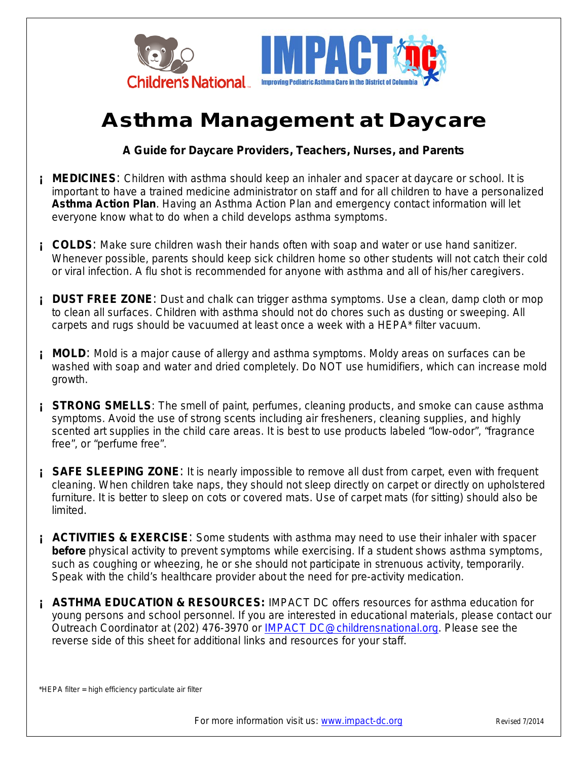

## **Asthma Management at Daycare**

**A Guide for Daycare Providers, Teachers, Nurses, and Parents** 

- **I** MEDICINES: Children with asthma should keep an inhaler and spacer at daycare or school. It is important to have a trained medicine administrator on staff and for all children to have a personalized *Asthma Action Plan*. Having an Asthma Action Plan and emergency contact information will let everyone know what to do when a child develops asthma symptoms.
- **¡ COLDS**: Make sure children wash their hands often with soap and water or use hand sanitizer. Whenever possible, parents should keep sick children home so other students will not catch their cold or viral infection. A flu shot is recommended for anyone with asthma and all of his/her caregivers.
- **¡ DUST FREE ZONE**: Dust and chalk can trigger asthma symptoms. Use a clean, damp cloth or mop to clean all surfaces. Children with asthma should not do chores such as dusting or sweeping. All carpets and rugs should be vacuumed at least once a week with a HEPA\* filter vacuum.
- **i** MOLD: Mold is a major cause of allergy and asthma symptoms. Moldy areas on surfaces can be washed with soap and water and dried completely. Do NOT use humidifiers, which can increase mold growth.
- **i STRONG SMELLS**: The smell of paint, perfumes, cleaning products, and smoke can cause asthma symptoms. Avoid the use of strong scents including air fresheners, cleaning supplies, and highly scented art supplies in the child care areas. It is best to use products labeled "low-odor", "fragrance free", or "perfume free".
- **EXECT SAFE SLEEPING ZONE:** It is nearly impossible to remove all dust from carpet, even with frequent cleaning. When children take naps, they should not sleep directly on carpet or directly on upholstered furniture. It is better to sleep on cots or covered mats. Use of carpet mats (for sitting) should also be limited.
- **EXECTIVITIES & EXERCISE:** Some students with asthma may need to use their inhaler with spacer *before* physical activity to prevent symptoms while exercising. If a student shows asthma symptoms, such as coughing or wheezing, he or she should not participate in strenuous activity, temporarily. Speak with the child's healthcare provider about the need for pre-activity medication.
- **¡ ASTHMA EDUCATION & RESOURCES:** IMPACT DC offers resources for asthma education for young persons and school personnel. If you are interested in educational materials, please contact our Outreach Coordinator at (202) 476-3970 or [IMPACT DC@childrensnational.org.](mailto:IMPACT%20DC@childrensnational.org) Please see the reverse side of this sheet for additional links and resources for your staff.

\*HEPA filter = high efficiency particulate air filter